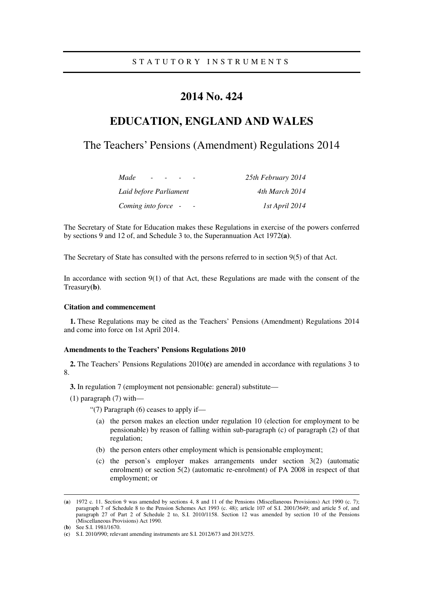# **2014 No. 424**

# **EDUCATION, ENGLAND AND WALES**

# The Teachers' Pensions (Amendment) Regulations 2014

| Made<br>$\overline{\phantom{0}}$ | 25th February 2014 |
|----------------------------------|--------------------|
| Laid before Parliament           | 4th March 2014     |
| Coming into force -              | 1st April 2014     |

The Secretary of State for Education makes these Regulations in exercise of the powers conferred by sections 9 and 12 of, and Schedule 3 to, the Superannuation Act 1972**(a)**.

The Secretary of State has consulted with the persons referred to in section 9(5) of that Act.

In accordance with section  $9(1)$  of that Act, these Regulations are made with the consent of the Treasury**(b)**.

## **Citation and commencement**

**1.** These Regulations may be cited as the Teachers' Pensions (Amendment) Regulations 2014 and come into force on 1st April 2014.

### **Amendments to the Teachers' Pensions Regulations 2010**

**2.** The Teachers' Pensions Regulations 2010**(c)** are amended in accordance with regulations 3 to 8.

**3.** In regulation 7 (employment not pensionable: general) substitute—

(1) paragraph (7) with—

"(7) Paragraph (6) ceases to apply if—

- (a) the person makes an election under regulation 10 (election for employment to be pensionable) by reason of falling within sub-paragraph (c) of paragraph (2) of that regulation;
- (b) the person enters other employment which is pensionable employment;
- (c) the person's employer makes arrangements under section 3(2) (automatic enrolment) or section 5(2) (automatic re-enrolment) of PA 2008 in respect of that employment; or

<u>.</u>

<sup>(</sup>**a**) 1972 c. 11. Section 9 was amended by sections 4, 8 and 11 of the Pensions (Miscellaneous Provisions) Act 1990 (c. 7); paragraph 7 of Schedule 8 to the Pension Schemes Act 1993 (c. 48); article 107 of S.I. 2001/3649; and article 5 of, and paragraph 27 of Part 2 of Schedule 2 to, S.I. 2010/1158. Section 12 was amended by section 10 of the Pensions (Miscellaneous Provisions) Act 1990.

<sup>(</sup>**b**) See S.I. 1981/1670.

<sup>(</sup>**c**) S.I. 2010/990; relevant amending instruments are S.I. 2012/673 and 2013/275.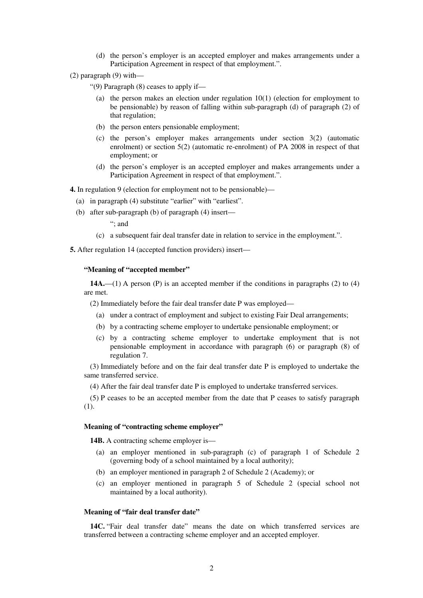- (d) the person's employer is an accepted employer and makes arrangements under a Participation Agreement in respect of that employment.".
- (2) paragraph (9) with—

"(9) Paragraph (8) ceases to apply if—

- (a) the person makes an election under regulation 10(1) (election for employment to be pensionable) by reason of falling within sub-paragraph (d) of paragraph (2) of that regulation;
- (b) the person enters pensionable employment;
- (c) the person's employer makes arrangements under section 3(2) (automatic enrolment) or section 5(2) (automatic re-enrolment) of PA 2008 in respect of that employment; or
- (d) the person's employer is an accepted employer and makes arrangements under a Participation Agreement in respect of that employment.".

**4.** In regulation 9 (election for employment not to be pensionable)—

- (a) in paragraph (4) substitute "earlier" with "earliest".
- (b) after sub-paragraph (b) of paragraph (4) insert—

"; and

(c) a subsequent fair deal transfer date in relation to service in the employment.".

**5.** After regulation 14 (accepted function providers) insert—

## **"Meaning of "accepted member"**

14A.—(1) A person (P) is an accepted member if the conditions in paragraphs (2) to (4) are met.

(2) Immediately before the fair deal transfer date P was employed—

- (a) under a contract of employment and subject to existing Fair Deal arrangements;
- (b) by a contracting scheme employer to undertake pensionable employment; or
- (c) by a contracting scheme employer to undertake employment that is not pensionable employment in accordance with paragraph (6) or paragraph (8) of regulation 7.

(3) Immediately before and on the fair deal transfer date P is employed to undertake the same transferred service.

(4) After the fair deal transfer date P is employed to undertake transferred services.

(5) P ceases to be an accepted member from the date that P ceases to satisfy paragraph (1).

#### **Meaning of "contracting scheme employer"**

**14B.** A contracting scheme employer is—

- (a) an employer mentioned in sub-paragraph (c) of paragraph 1 of Schedule 2 (governing body of a school maintained by a local authority);
- (b) an employer mentioned in paragraph 2 of Schedule 2 (Academy); or
- (c) an employer mentioned in paragraph 5 of Schedule 2 (special school not maintained by a local authority).

#### **Meaning of "fair deal transfer date"**

14C. "Fair deal transfer date" means the date on which transferred services are transferred between a contracting scheme employer and an accepted employer.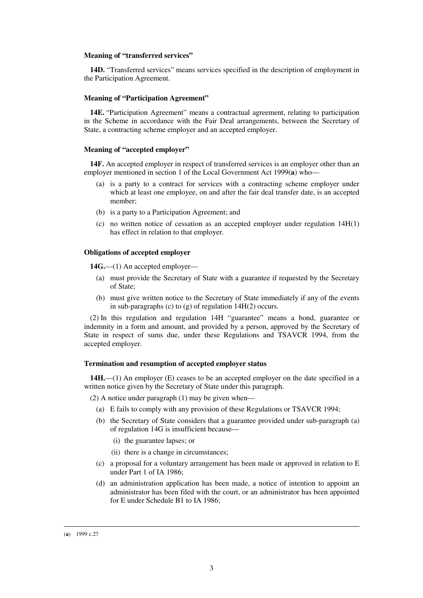#### **Meaning of "transferred services"**

**14D.** "Transferred services" means services specified in the description of employment in the Participation Agreement.

## **Meaning of "Participation Agreement"**

**14E.** "Participation Agreement" means a contractual agreement, relating to participation in the Scheme in accordance with the Fair Deal arrangements, between the Secretary of State, a contracting scheme employer and an accepted employer.

### **Meaning of "accepted employer"**

**14F.** An accepted employer in respect of transferred services is an employer other than an employer mentioned in section 1 of the Local Government Act 1999(**a**) who—

- (a) is a party to a contract for services with a contracting scheme employer under which at least one employee, on and after the fair deal transfer date, is an accepted member;
- (b) is a party to a Participation Agreement; and
- (c) no written notice of cessation as an accepted employer under regulation 14H(1) has effect in relation to that employer.

## **Obligations of accepted employer**

**14G.**—(1) An accepted employer—

- (a) must provide the Secretary of State with a guarantee if requested by the Secretary of State;
- (b) must give written notice to the Secretary of State immediately if any of the events in sub-paragraphs (c) to (g) of regulation 14H(2) occurs.

(2) In this regulation and regulation 14H "guarantee" means a bond, guarantee or indemnity in a form and amount, and provided by a person, approved by the Secretary of State in respect of sums due, under these Regulations and TSAVCR 1994, from the accepted employer.

## **Termination and resumption of accepted employer status**

**14H.**—(1) An employer (E) ceases to be an accepted employer on the date specified in a written notice given by the Secretary of State under this paragraph.

(2) A notice under paragraph (1) may be given when—

- (a) E fails to comply with any provision of these Regulations or TSAVCR 1994;
- (b) the Secretary of State considers that a guarantee provided under sub-paragraph (a) of regulation 14G is insufficient because—
	- (i) the guarantee lapses; or
	- (ii) there is a change in circumstances;
- (c) a proposal for a voluntary arrangement has been made or approved in relation to E under Part 1 of IA 1986;
- (d) an administration application has been made, a notice of intention to appoint an administrator has been filed with the court, or an administrator has been appointed for E under Schedule B1 to IA 1986;

<u>.</u>

<sup>(</sup>**a**) 1999 c.27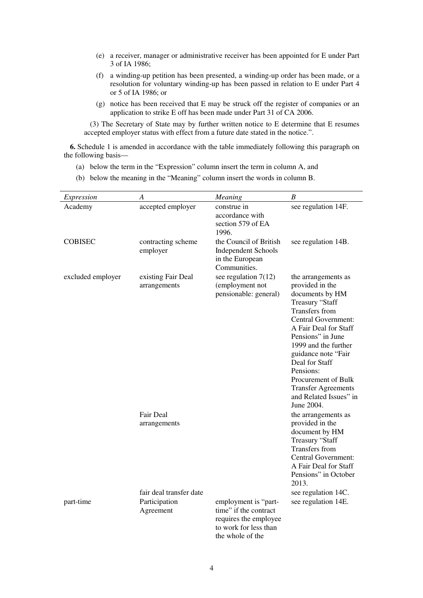- (e) a receiver, manager or administrative receiver has been appointed for E under Part 3 of IA 1986;
- (f) a winding-up petition has been presented, a winding-up order has been made, or a resolution for voluntary winding-up has been passed in relation to E under Part 4 or 5 of IA 1986; or
- (g) notice has been received that E may be struck off the register of companies or an application to strike E off has been made under Part 31 of CA 2006.

(3) The Secretary of State may by further written notice to E determine that E resumes accepted employer status with effect from a future date stated in the notice.".

**6.** Schedule 1 is amended in accordance with the table immediately following this paragraph on the following basis—

- (a) below the term in the "Expression" column insert the term in column A, and
- (b) below the meaning in the "Meaning" column insert the words in column B.

| Expression        | A                                                     | Meaning                                                                                                             | B                                                                                                                                                                                                                                                                                                                                                     |
|-------------------|-------------------------------------------------------|---------------------------------------------------------------------------------------------------------------------|-------------------------------------------------------------------------------------------------------------------------------------------------------------------------------------------------------------------------------------------------------------------------------------------------------------------------------------------------------|
| Academy           | accepted employer                                     | construe in<br>accordance with<br>section 579 of EA<br>1996.                                                        | see regulation 14F.                                                                                                                                                                                                                                                                                                                                   |
| <b>COBISEC</b>    | contracting scheme<br>employer                        | the Council of British<br><b>Independent Schools</b><br>in the European<br>Communities.                             | see regulation 14B.                                                                                                                                                                                                                                                                                                                                   |
| excluded employer | existing Fair Deal<br>arrangements                    | see regulation $7(12)$<br>(employment not<br>pensionable: general)                                                  | the arrangements as<br>provided in the<br>documents by HM<br>Treasury "Staff<br>Transfers from<br><b>Central Government:</b><br>A Fair Deal for Staff<br>Pensions" in June<br>1999 and the further<br>guidance note "Fair<br>Deal for Staff<br>Pensions:<br>Procurement of Bulk<br><b>Transfer Agreements</b><br>and Related Issues" in<br>June 2004. |
|                   | <b>Fair Deal</b><br>arrangements                      |                                                                                                                     | the arrangements as<br>provided in the<br>document by HM<br>Treasury "Staff<br>Transfers from<br><b>Central Government:</b><br>A Fair Deal for Staff<br>Pensions" in October<br>2013.                                                                                                                                                                 |
| part-time         | fair deal transfer date<br>Participation<br>Agreement | employment is "part-<br>time" if the contract<br>requires the employee<br>to work for less than<br>the whole of the | see regulation 14C.<br>see regulation 14E.                                                                                                                                                                                                                                                                                                            |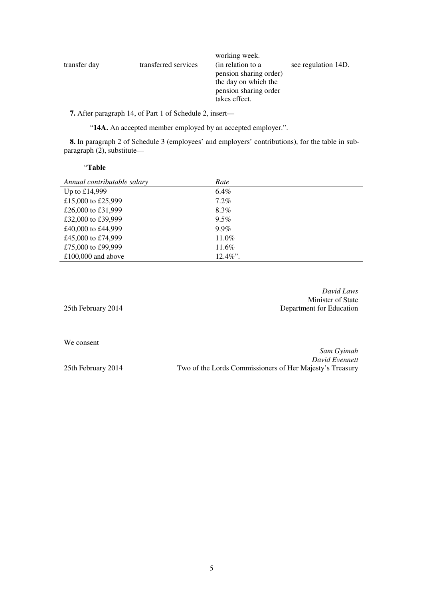| transfer day | transferred services | working week.<br>(in relation to a<br>pension sharing order)<br>the day on which the<br>pension sharing order | see regulation 14D. |
|--------------|----------------------|---------------------------------------------------------------------------------------------------------------|---------------------|
|              |                      | takes effect.                                                                                                 |                     |

**7.** After paragraph 14, of Part 1 of Schedule 2, insert—

"**14A.** An accepted member employed by an accepted employer.".

**8.** In paragraph 2 of Schedule 3 (employees' and employers' contributions), for the table in subparagraph (2), substitute—

| "Table                      |             |
|-----------------------------|-------------|
| Annual contributable salary | Rate        |
| Up to $£14,999$             | $6.4\%$     |
| £15,000 to £25,999          | $7.2\%$     |
| £26,000 to £31,999          | 8.3%        |
| £32,000 to £39,999          | $9.5\%$     |
| £40,000 to £44,999          | $9.9\%$     |
| £45,000 to £74,999          | $11.0\%$    |
| £75,000 to £99,999          | 11.6%       |
| £100,000 and above          | $12.4\%$ ". |

|                    | David Laws               |
|--------------------|--------------------------|
|                    | Minister of State        |
| 25th February 2014 | Department for Education |
|                    |                          |

We consent

*Sam Gyimah David Evennett*  25th February 2014 Two of the Lords Commissioners of Her Majesty's Treasury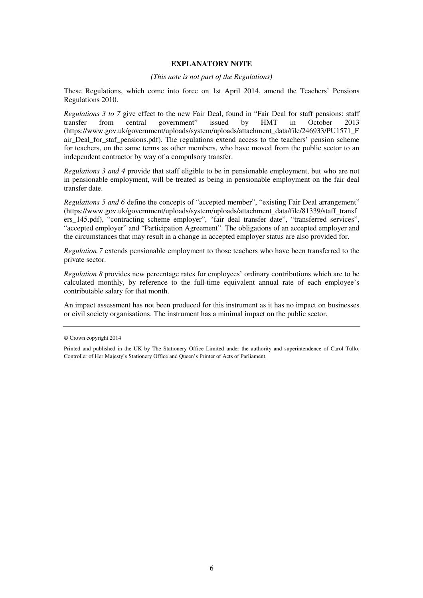## **EXPLANATORY NOTE**

## *(This note is not part of the Regulations)*

These Regulations, which come into force on 1st April 2014, amend the Teachers' Pensions Regulations 2010.

*Regulations 3 to 7* give effect to the new Fair Deal, found in "Fair Deal for staff pensions: staff transfer from central government" issued by HMT in October 2013 (https://www.gov.uk/government/uploads/system/uploads/attachment\_data/file/246933/PU1571\_F air Deal for staf pensions.pdf). The regulations extend access to the teachers' pension scheme for teachers, on the same terms as other members, who have moved from the public sector to an independent contractor by way of a compulsory transfer.

*Regulations 3 and 4* provide that staff eligible to be in pensionable employment, but who are not in pensionable employment, will be treated as being in pensionable employment on the fair deal transfer date.

*Regulations 5 and 6* define the concepts of "accepted member", "existing Fair Deal arrangement" (https://www.gov.uk/government/uploads/system/uploads/attachment\_data/file/81339/staff\_transf ers\_145.pdf), "contracting scheme employer", "fair deal transfer date", "transferred services", "accepted employer" and "Participation Agreement". The obligations of an accepted employer and the circumstances that may result in a change in accepted employer status are also provided for.

*Regulation 7* extends pensionable employment to those teachers who have been transferred to the private sector.

*Regulation 8* provides new percentage rates for employees' ordinary contributions which are to be calculated monthly, by reference to the full-time equivalent annual rate of each employee's contributable salary for that month.

An impact assessment has not been produced for this instrument as it has no impact on businesses or civil society organisations. The instrument has a minimal impact on the public sector.

<sup>©</sup> Crown copyright 2014

Printed and published in the UK by The Stationery Office Limited under the authority and superintendence of Carol Tullo, Controller of Her Majesty's Stationery Office and Queen's Printer of Acts of Parliament.